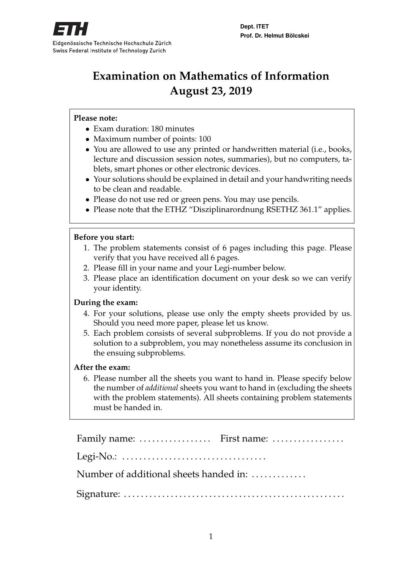

# **Examination on Mathematics of Information August 23, 2019**

### **Please note:**

- Exam duration: 180 minutes
- Maximum number of points: 100
- You are allowed to use any printed or handwritten material (i.e., books, lecture and discussion session notes, summaries), but no computers, tablets, smart phones or other electronic devices.
- Your solutions should be explained in detail and your handwriting needs to be clean and readable.
- Please do not use red or green pens. You may use pencils.
- Please note that the ETHZ "Disziplinarordnung RSETHZ 361.1" applies.

### **Before you start:**

- 1. The problem statements consist of 6 pages including this page. Please verify that you have received all 6 pages.
- 2. Please fill in your name and your Legi-number below.
- 3. Please place an identification document on your desk so we can verify your identity.

### **During the exam:**

- 4. For your solutions, please use only the empty sheets provided by us. Should you need more paper, please let us know.
- 5. Each problem consists of several subproblems. If you do not provide a solution to a subproblem, you may nonetheless assume its conclusion in the ensuing subproblems.

#### **After the exam:**

6. Please number all the sheets you want to hand in. Please specify below the number of *additional* sheets you want to hand in (excluding the sheets with the problem statements). All sheets containing problem statements must be handed in.

| Family name:  First name:                                                     |  |
|-------------------------------------------------------------------------------|--|
| Legi-No.: $\dots \dots \dots \dots \dots \dots \dots \dots \dots \dots \dots$ |  |
| Number of additional sheets handed in:                                        |  |
|                                                                               |  |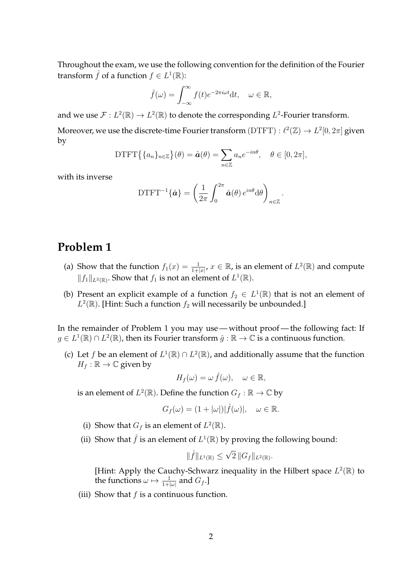Throughout the exam, we use the following convention for the definition of the Fourier transform  $\hat{f}$  of a function  $f \in L^1(\mathbb{R})$ :

$$
\hat{f}(\omega) = \int_{-\infty}^{\infty} f(t)e^{-2\pi i \omega t} dt, \quad \omega \in \mathbb{R},
$$

and we use  $\mathcal{F}: L^2(\mathbb{R}) \to L^2(\mathbb{R})$  to denote the corresponding  $L^2$ -Fourier transform. Moreover, we use the discrete-time Fourier transform  $(DTFT) : \ell^2(\mathbb{Z}) \to L^2[0,2\pi]$  given by

DTFT
$$
\{a_n\}_{n\in\mathbb{Z}}\}(\theta) = \hat{a}(\theta) = \sum_{n\in\mathbb{Z}} a_n e^{-in\theta}, \quad \theta \in [0, 2\pi],
$$

with its inverse

$$
\text{DTFT}^{-1}\{\hat{\boldsymbol{a}}\} = \left(\frac{1}{2\pi} \int_0^{2\pi} \hat{\boldsymbol{a}}(\theta) e^{in\theta} d\theta\right)_{n \in \mathbb{Z}}.
$$

# **Problem 1**

- (a) Show that the function  $f_1(x) = \frac{1}{1+|x|}$ ,  $x \in \mathbb{R}$ , is an element of  $L^2(\mathbb{R})$  and compute  $||f_1||_{L^2(\mathbb{R})}$ . Show that  $f_1$  is not an element of  $L^1(\mathbb{R})$ .
- (b) Present an explicit example of a function  $f_2 \in L^1(\mathbb{R})$  that is not an element of  $L^2(\mathbb{R})$ . [Hint: Such a function  $f_2$  will necessarily be unbounded.]

In the remainder of Problem 1 you may use — without proof — the following fact: If  $g \in L^1(\mathbb{R}) \cap L^2(\mathbb{R})$ , then its Fourier transform  $\hat{g} : \mathbb{R} \to \mathbb{C}$  is a continuous function.

(c) Let *f* be an element of  $L^1(\mathbb{R}) \cap L^2(\mathbb{R})$ , and additionally assume that the function  $H_f : \mathbb{R} \to \mathbb{C}$  given by

$$
H_f(\omega) = \omega \,\hat{f}(\omega), \quad \omega \in \mathbb{R},
$$

is an element of  $L^2(\mathbb{R})$ . Define the function  $G_f : \mathbb{R} \to \mathbb{C}$  by

$$
G_f(\omega) = (1 + |\omega|) |\hat{f}(\omega)|, \quad \omega \in \mathbb{R}.
$$

- (i) Show that  $G_f$  is an element of  $L^2(\mathbb{R})$ .
- (ii) Show that  $\hat{f}$  is an element of  $L^1(\mathbb{R})$  by proving the following bound:

$$
\|\hat{f}\|_{L^1(\mathbb{R})} \leq \sqrt{2} \|G_f\|_{L^2(\mathbb{R})}.
$$

[Hint: Apply the Cauchy-Schwarz inequality in the Hilbert space  $L^2(\mathbb{R})$  to the functions  $\omega \mapsto \frac{1}{1+|\omega|}$  and  $G_f.$  ]

(iii) Show that  $f$  is a continuous function.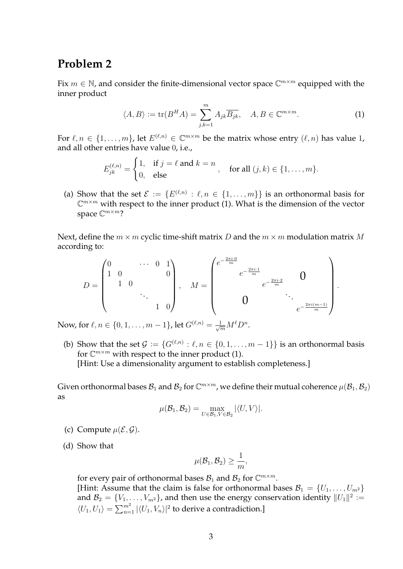## **Problem 2**

Fix  $m \in \mathbb{N}$ , and consider the finite-dimensional vector space  $\mathbb{C}^{m \times m}$  equipped with the inner product

$$
\langle A, B \rangle := \text{tr}(B^H A) = \sum_{j,k=1}^m A_{jk} \overline{B_{jk}}, \quad A, B \in \mathbb{C}^{m \times m}.
$$
 (1)

For  $\ell, n \in \{1, \ldots, m\}$ , let  $E^{(\ell,n)} \in \mathbb{C}^{m \times m}$  be the matrix whose entry  $(\ell, n)$  has value 1, and all other entries have value 0, i.e.,

$$
E_{jk}^{(\ell,n)} = \begin{cases} 1, & \text{if } j = \ell \text{ and } k = n \\ 0, & \text{else} \end{cases}, \quad \text{for all } (j,k) \in \{1, \ldots, m\}.
$$

(a) Show that the set  $\mathcal{E} := \{E^{(\ell,n)} : \ell, n \in \{1,\ldots,m\}\}\$ is an orthonormal basis for  $\mathbb{C}^{m \times m}$  with respect to the inner product (1). What is the dimension of the vector space  $\mathbb{C}^{m \times m}$ ?

Next, define the  $m \times m$  cyclic time-shift matrix D and the  $m \times m$  modulation matrix M according to:

$$
D = \begin{pmatrix} 0 & \cdots & 0 & 1 \\ 1 & 0 & & & 0 \\ & 1 & 0 & & & \\ & & & & 1 & 0 \end{pmatrix}, \quad M = \begin{pmatrix} e^{-\frac{2\pi i \cdot 0}{m}} & & & & & \\ & e^{-\frac{2\pi i \cdot 1}{m}} & & & & 0 \\ & & & e^{-\frac{2\pi i (m-1)}{m}} & & \\ & & & & & e^{-\frac{2\pi i (m-1)}{m}} \end{pmatrix}.
$$

Now, for  $\ell, n \in \{0, 1, \ldots, m-1\}$ , let  $G^{(\ell,n)} = \frac{1}{\sqrt{m}} M^{\ell} D^n$ .

(b) Show that the set  $\mathcal{G} := \{G^{(\ell,n)} : \ell, n \in \{0,1,\ldots,m-1\}\}$  is an orthonormal basis for  $\mathbb{C}^{m \times m}$  with respect to the inner product (1). [Hint: Use a dimensionality argument to establish completeness.]

Given orthonormal bases  $\mathcal{B}_1$  and  $\mathcal{B}_2$  for  $\mathbb{C}^{m\times m}$ , we define their mutual coherence  $\mu(\mathcal{B}_1,\mathcal{B}_2)$ as

$$
\mu(\mathcal{B}_1, \mathcal{B}_2) = \max_{U \in \mathcal{B}_1, V \in \mathcal{B}_2} |\langle U, V \rangle|.
$$

- (c) Compute  $\mu(\mathcal{E}, \mathcal{G})$ .
- (d) Show that

$$
\mu(\mathcal{B}_1,\mathcal{B}_2)\geq \frac{1}{m},
$$

for every pair of orthonormal bases  $B_1$  and  $B_2$  for  $\mathbb{C}^{m \times m}$ . [Hint: Assume that the claim is false for orthonormal bases  $\mathcal{B}_1 = \{U_1, \ldots, U_{m^2}\}\$ and  $\mathcal{B}_2 = \{V_1, \ldots, V_{m^2}\}$ , and then use the energy conservation identity  $||U_1||^2 :=$  $\langle U_1, U_1 \rangle = \sum_{n=1}^{m^2} |\langle U_1, V_n \rangle|^2$  to derive a contradiction.]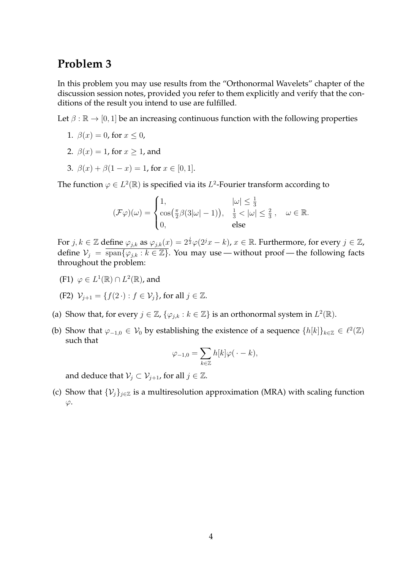# **Problem 3**

In this problem you may use results from the "Orthonormal Wavelets" chapter of the discussion session notes, provided you refer to them explicitly and verify that the conditions of the result you intend to use are fulfilled.

Let  $\beta : \mathbb{R} \to [0, 1]$  be an increasing continuous function with the following properties

- 1.  $\beta(x) = 0$ , for  $x \le 0$ ,
- 2.  $\beta(x) = 1$ , for  $x \ge 1$ , and
- 3.  $\beta(x) + \beta(1-x) = 1$ , for  $x \in [0,1]$ .

The function  $\varphi \in L^2(\mathbb{R})$  is specified via its  $L^2$ -Fourier transform according to

$$
(\mathcal{F}\varphi)(\omega) = \begin{cases} 1, & |\omega| \leq \frac{1}{3} \\ \cos(\frac{\pi}{2}\beta(3|\omega|-1)), & \frac{1}{3} < |\omega| \leq \frac{2}{3}, & \omega \in \mathbb{R}. \\ 0, & \text{else} \end{cases}
$$

For  $j,k\in\mathbb{Z}$  define  $\varphi_{j,k}$  as  $\varphi_{j,k}(x)=2^{\frac{j}{2}}\varphi(2^jx-k)$ ,  $x\in\mathbb{R}.$  Furthermore, for every  $j\in\mathbb{Z}$ , define  $V_j = \overline{\text{span}\{\varphi_{j,k} : k \in \mathbb{Z}\}}$ . You may use — without proof — the following facts throughout the problem:

(F1)  $\varphi \in L^1(\mathbb{R}) \cap L^2(\mathbb{R})$ , and

(F2) 
$$
\mathcal{V}_{j+1} = \{f(2 \cdot) : f \in \mathcal{V}_j\}
$$
, for all  $j \in \mathbb{Z}$ .

- (a) Show that, for every  $j \in \mathbb{Z}$ ,  $\{\varphi_{j,k} : k \in \mathbb{Z}\}$  is an orthonormal system in  $L^2(\mathbb{R})$ .
- (b) Show that  $\varphi_{-1,0} \in V_0$  by establishing the existence of a sequence  $\{h[k]\}_{k \in \mathbb{Z}} \in \ell^2(\mathbb{Z})$ such that

$$
\varphi_{-1,0} = \sum_{k \in \mathbb{Z}} h[k] \varphi(\cdot - k),
$$

and deduce that  $V_i \subset V_{i+1}$ , for all  $j \in \mathbb{Z}$ .

(c) Show that  $\{\mathcal{V}_i\}_{i\in\mathbb{Z}}$  is a multiresolution approximation (MRA) with scaling function  $\varphi$ .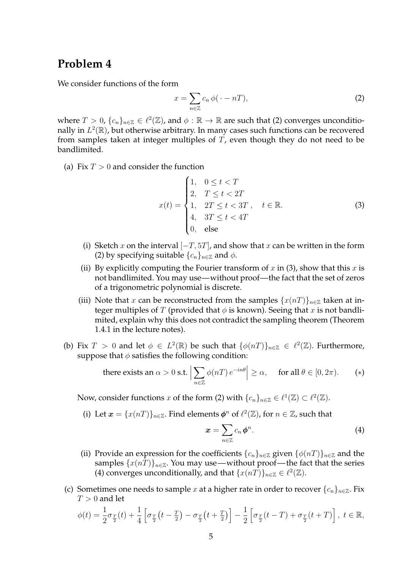## **Problem 4**

We consider functions of the form

$$
x = \sum_{n \in \mathbb{Z}} c_n \phi(\cdot - n),
$$
 (2)

where  $T > 0$ ,  $\{c_n\}_{n \in \mathbb{Z}} \in \ell^2(\mathbb{Z})$ , and  $\phi : \mathbb{R} \to \mathbb{R}$  are such that (2) converges unconditionally in  $L^2(\mathbb{R})$ , but otherwise arbitrary. In many cases such functions can be recovered from samples taken at integer multiples of  $T$ , even though they do not need to be bandlimited.

(a) Fix  $T > 0$  and consider the function

$$
x(t) = \begin{cases} 1, & 0 \le t < T \\ 2, & T \le t < 2T \\ 1, & 2T \le t < 3T \\ 4, & 3T \le t < 4T \\ 0, & \text{else} \end{cases}
$$
 (3)

- (i) Sketch x on the interval  $[-T, 5T]$ , and show that x can be written in the form (2) by specifying suitable  $\{c_n\}_{n\in\mathbb{Z}}$  and  $\phi$ .
- (ii) By explicitly computing the Fourier transform of x in (3), show that this x is not bandlimited. You may use—without proof—the fact that the set of zeros of a trigonometric polynomial is discrete.
- (iii) Note that x can be reconstructed from the samples  $\{x(nT)\}_{n\in\mathbb{Z}}$  taken at integer multiples of T (provided that  $\phi$  is known). Seeing that x is not bandlimited, explain why this does not contradict the sampling theorem (Theorem 1.4.1 in the lecture notes).
- (b) Fix  $T > 0$  and let  $\phi \in L^2(\mathbb{R})$  be such that  $\{\phi(nT)\}_{n \in \mathbb{Z}} \in \ell^2(\mathbb{Z})$ . Furthermore, suppose that  $\phi$  satisfies the following condition:

there exists an 
$$
\alpha > 0
$$
 s.t.  $\left| \sum_{n \in \mathbb{Z}} \phi(nT) e^{-in\theta} \right| \ge \alpha$ , for all  $\theta \in [0, 2\pi)$ . (\*)

Now, consider functions x of the form (2) with  $\{c_n\}_{n\in\mathbb{Z}}\in\ell^1(\mathbb{Z})\subset\ell^2(\mathbb{Z})$ .

(i) Let  $\boldsymbol{x} = \{x(nT)\}_{n \in \mathbb{Z}}$ . Find elements  $\boldsymbol{\phi}^n$  of  $\ell^2(\mathbb{Z})$ , for  $n \in \mathbb{Z}$ , such that

$$
x = \sum_{n \in \mathbb{Z}} c_n \phi^n. \tag{4}
$$

- (ii) Provide an expression for the coefficients  $\{c_n\}_{n\in\mathbb{Z}}$  given  $\{\phi(nT)\}_{n\in\mathbb{Z}}$  and the samples  $\{x(nT)\}_{n\in\mathbb{Z}}$ . You may use—without proof—the fact that the series (4) converges unconditionally, and that  $\{x(nT)\}_{n\in\mathbb{Z}} \in \ell^2(\mathbb{Z})$ .
- (c) Sometimes one needs to sample x at a higher rate in order to recover  $\{c_n\}_{n\in\mathbb{Z}}$ . Fix  $T > 0$  and let

$$
\phi(t) = \frac{1}{2}\sigma_{\frac{T}{2}}(t) + \frac{1}{4}\left[\sigma_{\frac{T}{2}}(t-\frac{T}{2}) - \sigma_{\frac{T}{2}}(t+\frac{T}{2})\right] - \frac{1}{2}\left[\sigma_{\frac{T}{2}}(t-T) + \sigma_{\frac{T}{2}}(t+T)\right], \ t \in \mathbb{R},
$$